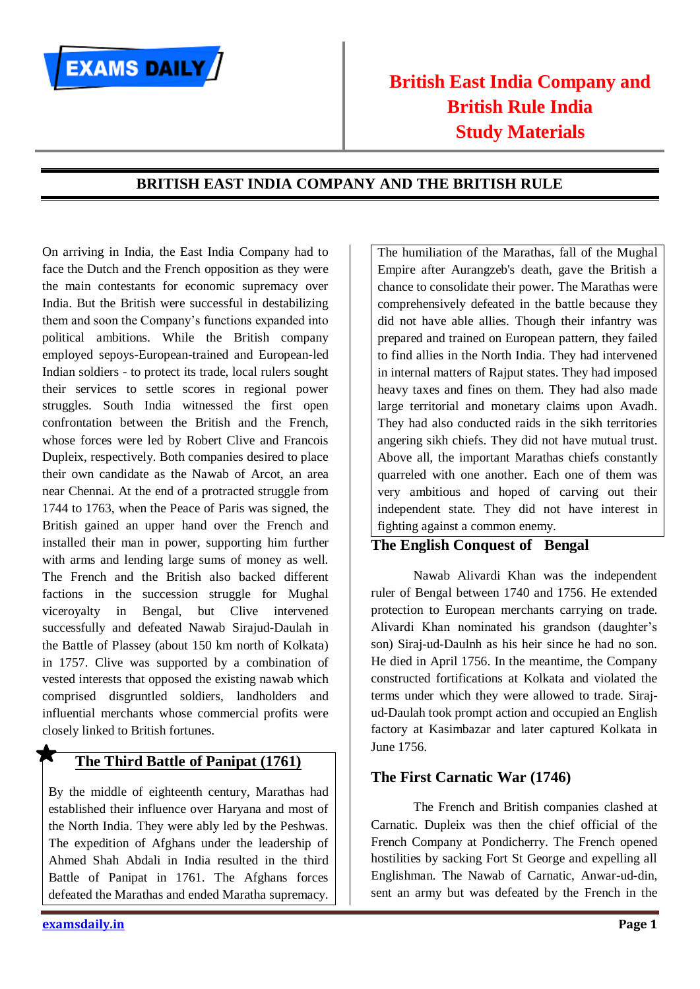

## **BRITISH EAST INDIA COMPANY AND THE BRITISH RULE**

On arriving in India, the East India Company had to face the Dutch and the French opposition as they were the main contestants for economic supremacy over India. But the British were successful in destabilizing them and soon the Company's functions expanded into political ambitions. While the British company employed sepoys-European-trained and European-led Indian soldiers - to protect its trade, local rulers sought their services to settle scores in regional power struggles. South India witnessed the first open confrontation between the British and the French, whose forces were led by Robert Clive and Francois Dupleix, respectively. Both companies desired to place their own candidate as the Nawab of Arcot, an area near Chennai. At the end of a protracted struggle from 1744 to 1763, when the Peace of Paris was signed, the British gained an upper hand over the French and installed their man in power, supporting him further with arms and lending large sums of money as well. The French and the British also backed different factions in the succession struggle for Mughal viceroyalty in Bengal, but Clive intervened successfully and defeated Nawab Sirajud-Daulah in the Battle of Plassey (about 150 km north of Kolkata) in 1757. Clive was supported by a combination of vested interests that opposed the existing nawab which comprised disgruntled soldiers, landholders and influential merchants whose commercial profits were closely linked to British fortunes.

## **The Third Battle of Panipat (1761)**

By the middle of eighteenth century, Marathas had established their influence over Haryana and most of the North India. They were ably led by the Peshwas. The expedition of Afghans under the leadership of Ahmed Shah Abdali in India resulted in the third Battle of Panipat in 1761. The Afghans forces defeated the Marathas and ended Maratha supremacy.

The humiliation of the Marathas, fall of the Mughal Empire after Aurangzeb's death, gave the British a chance to consolidate their power. The Marathas were comprehensively defeated in the battle because they did not have able allies. Though their infantry was prepared and trained on European pattern, they failed to find allies in the North India. They had intervened in internal matters of Rajput states. They had imposed heavy taxes and fines on them. They had also made large territorial and monetary claims upon Avadh. They had also conducted raids in the sikh territories angering sikh chiefs. They did not have mutual trust. Above all, the important Marathas chiefs constantly quarreled with one another. Each one of them was very ambitious and hoped of carving out their independent state. They did not have interest in fighting against a common enemy.

## **The English Conquest of Bengal**

Nawab Alivardi Khan was the independent ruler of Bengal between 1740 and 1756. He extended protection to European merchants carrying on trade. Alivardi Khan nominated his grandson (daughter's son) Siraj-ud-Daulnh as his heir since he had no son. He died in April 1756. In the meantime, the Company constructed fortifications at Kolkata and violated the terms under which they were allowed to trade. Sirajud-Daulah took prompt action and occupied an English factory at Kasimbazar and later captured Kolkata in June 1756.

## **The First Carnatic War (1746)**

The French and British companies clashed at Carnatic. Dupleix was then the chief official of the French Company at Pondicherry. The French opened hostilities by sacking Fort St George and expelling all Englishman. The Nawab of Carnatic, Anwar-ud-din, sent an army but was defeated by the French in the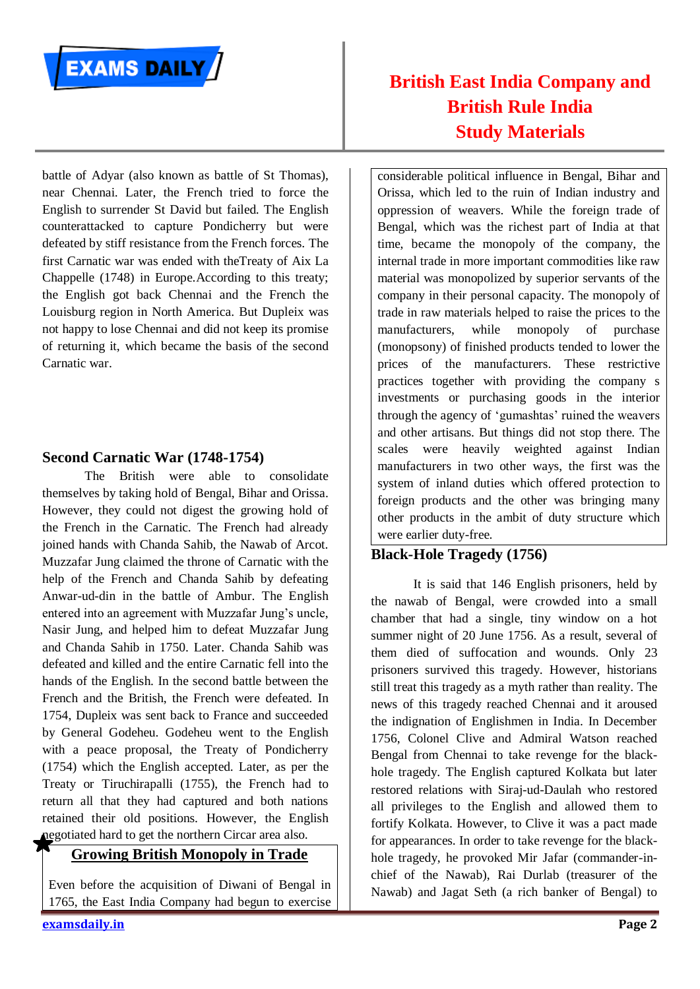

considerable political influence in Bengal, Bihar and

battle of Adyar (also known as battle of St Thomas), near Chennai. Later, the French tried to force the English to surrender St David but failed. The English counterattacked to capture Pondicherry but were defeated by stiff resistance from the French forces. The first Carnatic war was ended with theTreaty of Aix La Chappelle (1748) in Europe.According to this treaty; the English got back Chennai and the French the Louisburg region in North America. But Dupleix was not happy to lose Chennai and did not keep its promise of returning it, which became the basis of the second Carnatic war.

#### **Second Carnatic War (1748-1754)**

The British were able to consolidate themselves by taking hold of Bengal, Bihar and Orissa. However, they could not digest the growing hold of the French in the Carnatic. The French had already joined hands with Chanda Sahib, the Nawab of Arcot. Muzzafar Jung claimed the throne of Carnatic with the help of the French and Chanda Sahib by defeating Anwar-ud-din in the battle of Ambur. The English entered into an agreement with Muzzafar Jung's uncle, Nasir Jung, and helped him to defeat Muzzafar Jung and Chanda Sahib in 1750. Later. Chanda Sahib was defeated and killed and the entire Carnatic fell into the hands of the English. In the second battle between the French and the British, the French were defeated. In 1754, Dupleix was sent back to France and succeeded by General Godeheu. Godeheu went to the English with a peace proposal, the Treaty of Pondicherry (1754) which the English accepted. Later, as per the Treaty or Tiruchirapalli (1755), the French had to return all that they had captured and both nations retained their old positions. However, the English negotiated hard to get the northern Circar area also.

## **Growing British Monopoly in Trade**

Even before the acquisition of Diwani of Bengal in 1765, the East India Company had begun to exercise

Orissa, which led to the ruin of Indian industry and oppression of weavers. While the foreign trade of Bengal, which was the richest part of India at that time, became the monopoly of the company, the internal trade in more important commodities like raw material was monopolized by superior servants of the company in their personal capacity. The monopoly of trade in raw materials helped to raise the prices to the manufacturers, while monopoly of purchase (monopsony) of finished products tended to lower the prices of the manufacturers. These restrictive practices together with providing the company s investments or purchasing goods in the interior through the agency of 'gumashtas' ruined the weavers and other artisans. But things did not stop there. The scales were heavily weighted against Indian manufacturers in two other ways, the first was the system of inland duties which offered protection to foreign products and the other was bringing many other products in the ambit of duty structure which

# **Black-Hole Tragedy (1756)**

were earlier duty-free.

It is said that 146 English prisoners, held by the nawab of Bengal, were crowded into a small chamber that had a single, tiny window on a hot summer night of 20 June 1756. As a result, several of them died of suffocation and wounds. Only 23 prisoners survived this tragedy. However, historians still treat this tragedy as a myth rather than reality. The news of this tragedy reached Chennai and it aroused the indignation of Englishmen in India. In December 1756, Colonel Clive and Admiral Watson reached Bengal from Chennai to take revenge for the blackhole tragedy. The English captured Kolkata but later restored relations with Siraj-ud-Daulah who restored all privileges to the English and allowed them to fortify Kolkata. However, to Clive it was a pact made for appearances. In order to take revenge for the blackhole tragedy, he provoked Mir Jafar (commander-inchief of the Nawab), Rai Durlab (treasurer of the Nawab) and Jagat Seth (a rich banker of Bengal) to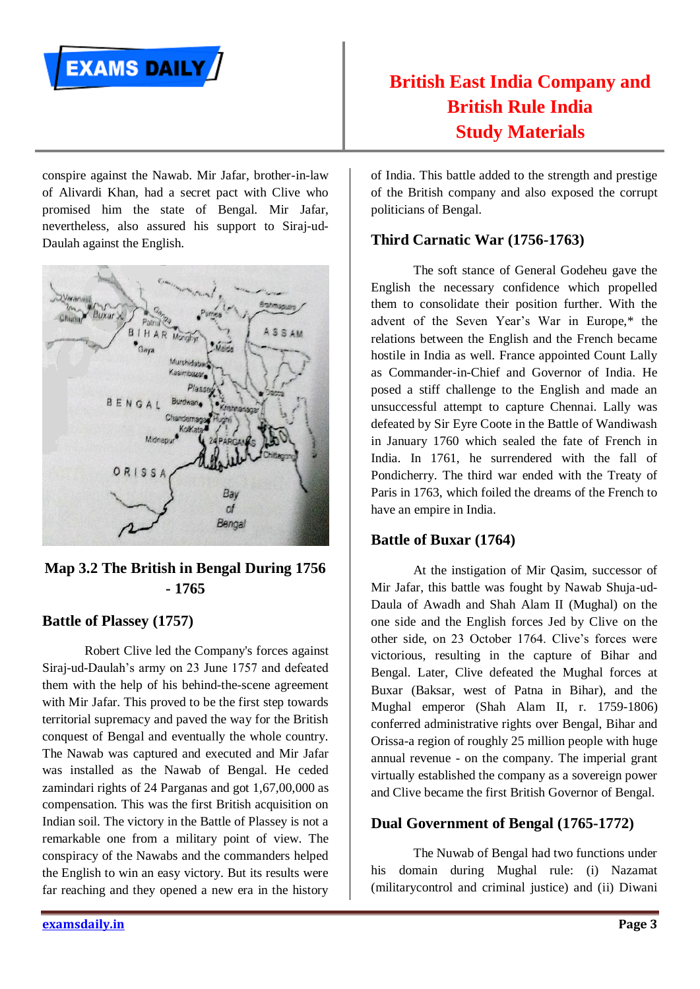

conspire against the Nawab. Mir Jafar, brother-in-law of Alivardi Khan, had a secret pact with Clive who promised him the state of Bengal. Mir Jafar, nevertheless, also assured his support to Siraj-ud-Daulah against the English.



# **Map 3.2 The British in Bengal During 1756 - 1765**

### **Battle of Plassey (1757)**

Robert Clive led the Company's forces against Siraj-ud-Daulah's army on 23 June 1757 and defeated them with the help of his behind-the-scene agreement with Mir Jafar. This proved to be the first step towards territorial supremacy and paved the way for the British conquest of Bengal and eventually the whole country. The Nawab was captured and executed and Mir Jafar was installed as the Nawab of Bengal. He ceded zamindari rights of 24 Parganas and got 1,67,00,000 as compensation. This was the first British acquisition on Indian soil. The victory in the Battle of Plassey is not a remarkable one from a military point of view. The conspiracy of the Nawabs and the commanders helped the English to win an easy victory. But its results were far reaching and they opened a new era in the history

# **British East India Company and British Rule India Study Materials**

of India. This battle added to the strength and prestige of the British company and also exposed the corrupt politicians of Bengal.

## **Third Carnatic War (1756-1763)**

The soft stance of General Godeheu gave the English the necessary confidence which propelled them to consolidate their position further. With the advent of the Seven Year's War in Europe,\* the relations between the English and the French became hostile in India as well. France appointed Count Lally as Commander-in-Chief and Governor of India. He posed a stiff challenge to the English and made an unsuccessful attempt to capture Chennai. Lally was defeated by Sir Eyre Coote in the Battle of Wandiwash in January 1760 which sealed the fate of French in India. In 1761, he surrendered with the fall of Pondicherry. The third war ended with the Treaty of Paris in 1763, which foiled the dreams of the French to have an empire in India.

## **Battle of Buxar (1764)**

At the instigation of Mir Qasim, successor of Mir Jafar, this battle was fought by Nawab Shuja-ud-Daula of Awadh and Shah Alam II (Mughal) on the one side and the English forces Jed by Clive on the other side, on 23 October 1764. Clive's forces were victorious, resulting in the capture of Bihar and Bengal. Later, Clive defeated the Mughal forces at Buxar (Baksar, west of Patna in Bihar), and the Mughal emperor (Shah Alam II, r. 1759-1806) conferred administrative rights over Bengal, Bihar and Orissa-a region of roughly 25 million people with huge annual revenue - on the company. The imperial grant virtually established the company as a sovereign power and Clive became the first British Governor of Bengal.

## **Dual Government of Bengal (1765-1772)**

The Nuwab of Bengal had two functions under his domain during Mughal rule: (i) Nazamat (militarycontrol and criminal justice) and (ii) Diwani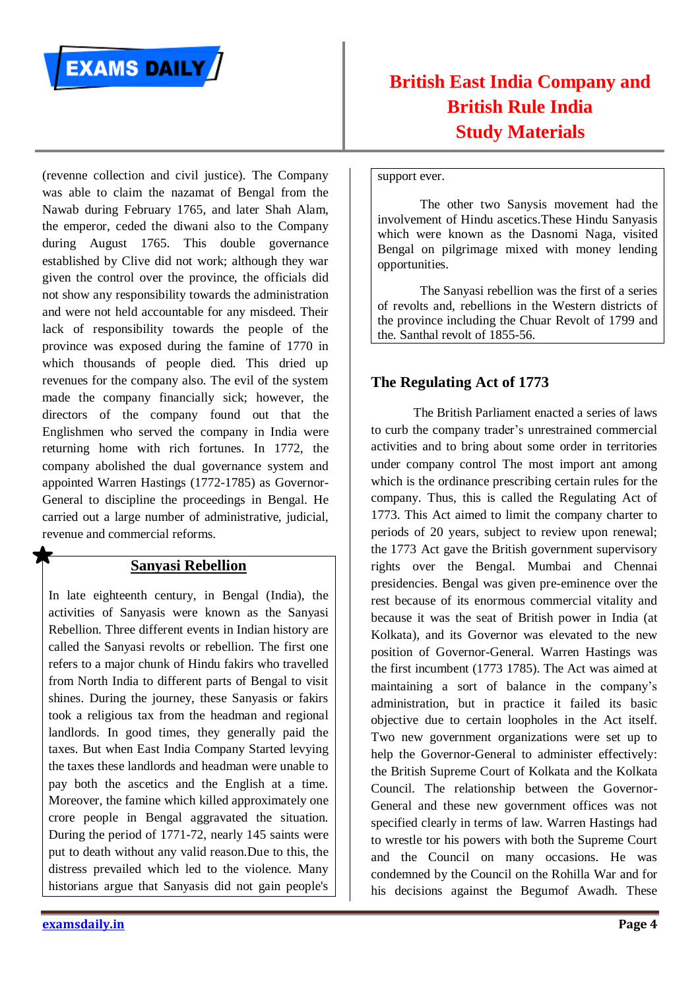

(revenne collection and civil justice). The Company was able to claim the nazamat of Bengal from the Nawab during February 1765, and later Shah Alam, the emperor, ceded the diwani also to the Company during August 1765. This double governance established by Clive did not work; although they war given the control over the province, the officials did not show any responsibility towards the administration and were not held accountable for any misdeed. Their lack of responsibility towards the people of the province was exposed during the famine of 1770 in which thousands of people died. This dried up revenues for the company also. The evil of the system made the company financially sick; however, the directors of the company found out that the Englishmen who served the company in India were returning home with rich fortunes. In 1772, the company abolished the dual governance system and appointed Warren Hastings (1772-1785) as Governor-General to discipline the proceedings in Bengal. He carried out a large number of administrative, judicial, revenue and commercial reforms.

### **Sanyasi Rebellion**

In late eighteenth century, in Bengal (India), the activities of Sanyasis were known as the Sanyasi Rebellion. Three different events in Indian history are called the Sanyasi revolts or rebellion. The first one refers to a major chunk of Hindu fakirs who travelled from North India to different parts of Bengal to visit shines. During the journey, these Sanyasis or fakirs took a religious tax from the headman and regional landlords. In good times, they generally paid the taxes. But when East India Company Started levying the taxes these landlords and headman were unable to pay both the ascetics and the English at a time. Moreover, the famine which killed approximately one crore people in Bengal aggravated the situation. During the period of 1771-72, nearly 145 saints were put to death without any valid reason.Due to this, the distress prevailed which led to the violence. Many historians argue that Sanyasis did not gain people's

#### support ever.

The other two Sanysis movement had the involvement of Hindu ascetics.These Hindu Sanyasis which were known as the Dasnomi Naga, visited Bengal on pilgrimage mixed with money lending opportunities.

The Sanyasi rebellion was the first of a series of revolts and, rebellions in the Western districts of the province including the Chuar Revolt of 1799 and the. Santhal revolt of 1855-56.

## **The Regulating Act of 1773**

The British Parliament enacted a series of laws to curb the company trader's unrestrained commercial activities and to bring about some order in territories under company control The most import ant among which is the ordinance prescribing certain rules for the company. Thus, this is called the Regulating Act of 1773. This Act aimed to limit the company charter to periods of 20 years, subject to review upon renewal; the 1773 Act gave the British government supervisory rights over the Bengal. Mumbai and Chennai presidencies. Bengal was given pre-eminence over the rest because of its enormous commercial vitality and because it was the seat of British power in India (at Kolkata), and its Governor was elevated to the new position of Governor-General. Warren Hastings was the first incumbent (1773 1785). The Act was aimed at maintaining a sort of balance in the company's administration, but in practice it failed its basic objective due to certain loopholes in the Act itself. Two new government organizations were set up to help the Governor-General to administer effectively: the British Supreme Court of Kolkata and the Kolkata Council. The relationship between the Governor-General and these new government offices was not specified clearly in terms of law. Warren Hastings had to wrestle tor his powers with both the Supreme Court and the Council on many occasions. He was condemned by the Council on the Rohilla War and for his decisions against the Begumof Awadh. These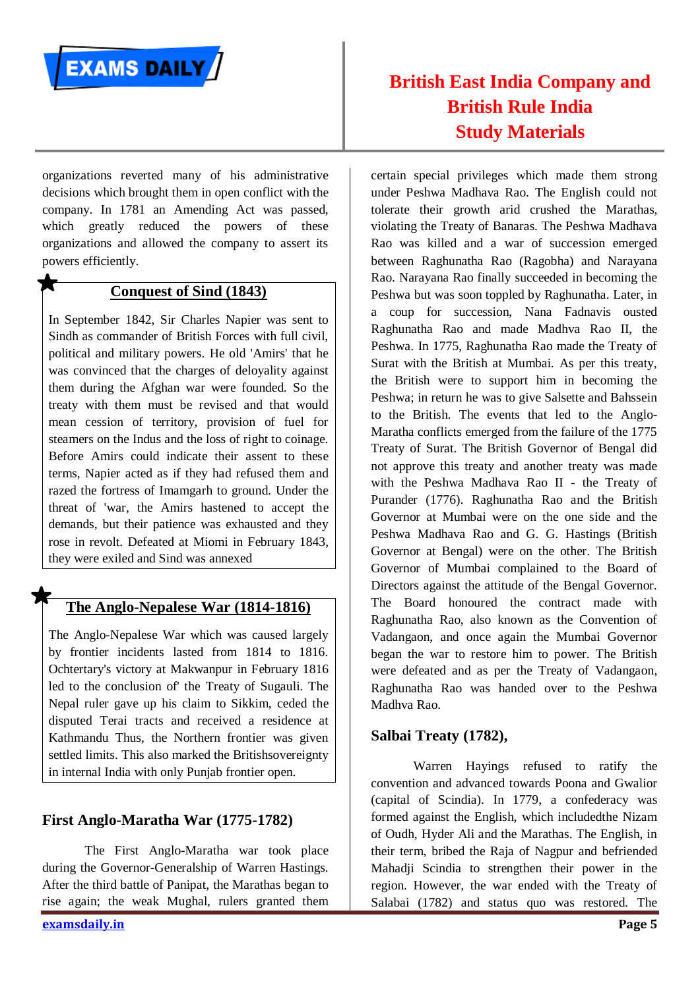

organizations reverted many of his administrative decisions which brought them in open conflict with the company. In 1781 an Amending Act was passed, which greatly reduced the powers of these organizations and allowed the company to assert its powers efficiently.

## **Conquest of Sind (1843)**

In September 1842, Sir Charles Napier was sent to Sindh as commander of British Forces with full civil, political and military powers. He old 'Amirs' that he was convinced that the charges of deloyality against them during the Afghan war were founded. So the treaty with them must be revised and that would mean cession of territory, provision of fuel for steamers on the Indus and the loss of right to coinage. Before Amirs could indicate their assent to these terms, Napier acted as if they had refused them and razed the fortress of Imamgarh to ground. Under the threat of 'war, the Amirs hastened to accept the demands, but their patience was exhausted and they rose in revolt. Defeated at Miomi in February 1843, they were exiled and Sind was annexed

## **The Anglo-Nepalese War (1814-1816)**

The Anglo-Nepalese War which was caused largely by frontier incidents lasted from 1814 to 1816. Ochtertary's victory at Makwanpur in February 1816 led to the conclusion of' the Treaty of Sugauli. The Nepal ruler gave up his claim to Sikkim, ceded the disputed Terai tracts and received a residence at Kathmandu Thus, the Northern frontier was given settled limits. This also marked the Britishsovereignty in internal India with only Punjab frontier open.

## **First Anglo-Maratha War (1775-1782)**

The First Anglo-Maratha war took place during the Governor-Generalship of Warren Hastings. After the third battle of Panipat, the Marathas began to rise again; the weak Mughal, rulers granted them

certain special privileges which made them strong under Peshwa Madhava Rao. The English could not tolerate their growth arid crushed the Marathas, violating the Treaty of Banaras. The Peshwa Madhava Rao was killed and a war of succession emerged between Raghunatha Rao (Ragobha) and Narayana Rao. Narayana Rao finally succeeded in becoming the Peshwa but was soon toppled by Raghunatha. Later, in a coup for succession, Nana Fadnavis ousted Raghunatha Rao and made Madhva Rao II, the Peshwa. In 1775, Raghunatha Rao made the Treaty of Surat with the British at Mumbai. As per this treaty, the British were to support him in becoming the Peshwa; in return he was to give Salsette and Bahssein to the British. The events that led to the Anglo-Maratha conflicts emerged from the failure of the 1775 Treaty of Surat. The British Governor of Bengal did not approve this treaty and another treaty was made with the Peshwa Madhava Rao II - the Treaty of Purander (1776). Raghunatha Rao and the British Governor at Mumbai were on the one side and the Peshwa Madhava Rao and G. G. Hastings (British Governor at Bengal) were on the other. The British Governor of Mumbai complained to the Board of Directors against the attitude of the Bengal Governor. The Board honoured the contract made with Raghunatha Rao, also known as the Convention of Vadangaon, and once again the Mumbai Governor began the war to restore him to power. The British were defeated and as per the Treaty of Vadangaon, Raghunatha Rao was handed over to the Peshwa Madhva Rao.

## **Salbai Treaty (1782),**

Warren Hayings refused to ratify the convention and advanced towards Poona and Gwalior (capital of Scindia). In 1779, a confederacy was formed against the English, which includedthe Nizam of Oudh, Hyder Ali and the Marathas. The English, in their term, bribed the Raja of Nagpur and befriended Mahadji Scindia to strengthen their power in the region. However, the war ended with the Treaty of Salabai (1782) and status quo was restored. The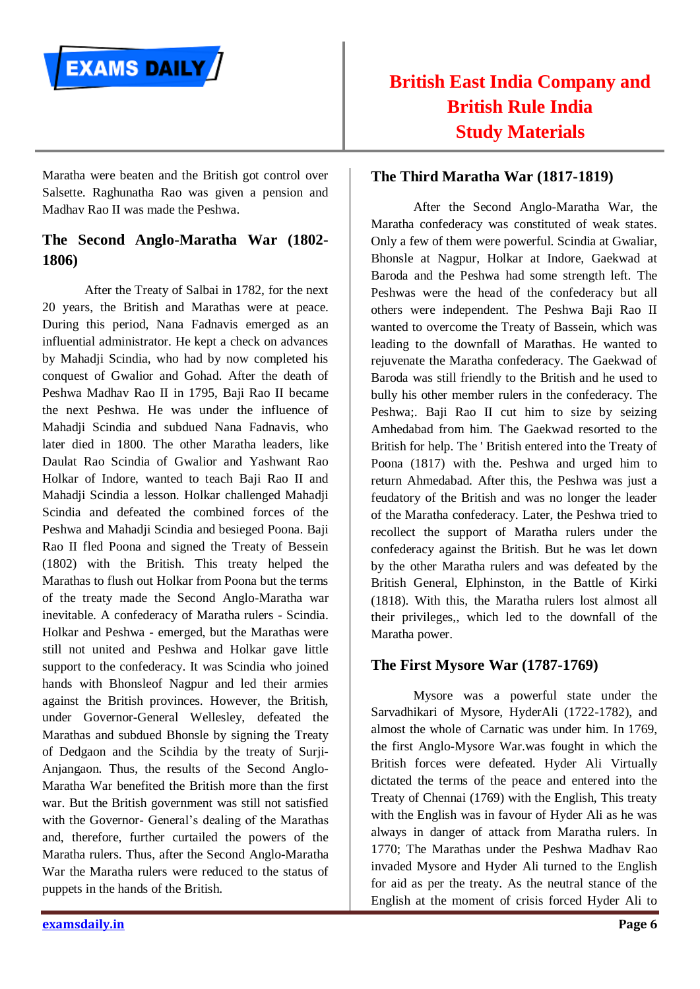

Maratha were beaten and the British got control over Salsette. Raghunatha Rao was given a pension and Madhav Rao II was made the Peshwa.

# **The Second Anglo-Maratha War (1802- 1806)**

After the Treaty of Salbai in 1782, for the next 20 years, the British and Marathas were at peace. During this period, Nana Fadnavis emerged as an influential administrator. He kept a check on advances by Mahadji Scindia, who had by now completed his conquest of Gwalior and Gohad. After the death of Peshwa Madhav Rao II in 1795, Baji Rao II became the next Peshwa. He was under the influence of Mahadji Scindia and subdued Nana Fadnavis, who later died in 1800. The other Maratha leaders, like Daulat Rao Scindia of Gwalior and Yashwant Rao Holkar of Indore, wanted to teach Baji Rao II and Mahadji Scindia a lesson. Holkar challenged Mahadji Scindia and defeated the combined forces of the Peshwa and Mahadji Scindia and besieged Poona. Baji Rao II fled Poona and signed the Treaty of Bessein (1802) with the British. This treaty helped the Marathas to flush out Holkar from Poona but the terms of the treaty made the Second Anglo-Maratha war inevitable. A confederacy of Maratha rulers - Scindia. Holkar and Peshwa - emerged, but the Marathas were still not united and Peshwa and Holkar gave little support to the confederacy. It was Scindia who joined hands with Bhonsleof Nagpur and led their armies against the British provinces. However, the British, under Governor-General Wellesley, defeated the Marathas and subdued Bhonsle by signing the Treaty of Dedgaon and the Scihdia by the treaty of Surji-Anjangaon. Thus, the results of the Second Anglo-Maratha War benefited the British more than the first war. But the British government was still not satisfied with the Governor- General's dealing of the Marathas and, therefore, further curtailed the powers of the Maratha rulers. Thus, after the Second Anglo-Maratha War the Maratha rulers were reduced to the status of puppets in the hands of the British.

# **British East India Company and British Rule India Study Materials**

## **The Third Maratha War (1817-1819)**

After the Second Anglo-Maratha War, the Maratha confederacy was constituted of weak states. Only a few of them were powerful. Scindia at Gwaliar, Bhonsle at Nagpur, Holkar at Indore, Gaekwad at Baroda and the Peshwa had some strength left. The Peshwas were the head of the confederacy but all others were independent. The Peshwa Baji Rao II wanted to overcome the Treaty of Bassein, which was leading to the downfall of Marathas. He wanted to rejuvenate the Maratha confederacy. The Gaekwad of Baroda was still friendly to the British and he used to bully his other member rulers in the confederacy. The Peshwa;. Baji Rao II cut him to size by seizing Amhedabad from him. The Gaekwad resorted to the British for help. The ' British entered into the Treaty of Poona (1817) with the. Peshwa and urged him to return Ahmedabad. After this, the Peshwa was just a feudatory of the British and was no longer the leader of the Maratha confederacy. Later, the Peshwa tried to recollect the support of Maratha rulers under the confederacy against the British. But he was let down by the other Maratha rulers and was defeated by the British General, Elphinston, in the Battle of Kirki (1818). With this, the Maratha rulers lost almost all their privileges,, which led to the downfall of the Maratha power.

### **The First Mysore War (1787-1769)**

Mysore was a powerful state under the Sarvadhikari of Mysore, HyderAli (1722-1782), and almost the whole of Carnatic was under him. In 1769, the first Anglo-Mysore War.was fought in which the British forces were defeated. Hyder Ali Virtually dictated the terms of the peace and entered into the Treaty of Chennai (1769) with the English, This treaty with the English was in favour of Hyder Ali as he was always in danger of attack from Maratha rulers. In 1770; The Marathas under the Peshwa Madhav Rao invaded Mysore and Hyder Ali turned to the English for aid as per the treaty. As the neutral stance of the English at the moment of crisis forced Hyder Ali to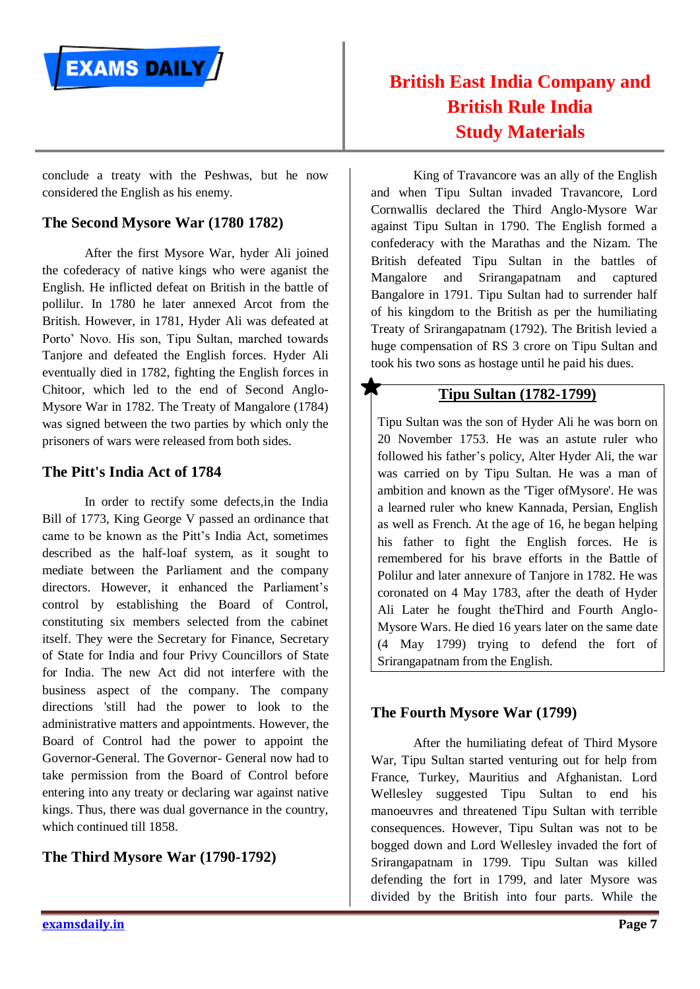

conclude a treaty with the Peshwas, but he now considered the English as his enemy.

## **The Second Mysore War (1780 1782)**

After the first Mysore War, hyder Ali joined the cofederacy of native kings who were aganist the English. He inflicted defeat on British in the battle of pollilur. In 1780 he later annexed Arcot from the British. However, in 1781, Hyder Ali was defeated at Porto' Novo. His son, Tipu Sultan, marched towards Tanjore and defeated the English forces. Hyder Ali eventually died in 1782, fighting the English forces in Chitoor, which led to the end of Second Anglo-Mysore War in 1782. The Treaty of Mangalore (1784) was signed between the two parties by which only the prisoners of wars were released from both sides.

#### **The Pitt's India Act of 1784**

In order to rectify some defects,in the India Bill of 1773, King George V passed an ordinance that came to be known as the Pitt's India Act, sometimes described as the half-loaf system, as it sought to mediate between the Parliament and the company directors. However, it enhanced the Parliament's control by establishing the Board of Control, constituting six members selected from the cabinet itself. They were the Secretary for Finance, Secretary of State for India and four Privy Councillors of State for India. The new Act did not interfere with the business aspect of the company. The company directions 'still had the power to look to the administrative matters and appointments. However, the Board of Control had the power to appoint the Governor-General. The Governor- General now had to take permission from the Board of Control before entering into any treaty or declaring war against native kings. Thus, there was dual governance in the country, which continued till 1858.

# **The Third Mysore War (1790-1792)**

# **British East India Company and British Rule India Study Materials**

King of Travancore was an ally of the English and when Tipu Sultan invaded Travancore, Lord Cornwallis declared the Third Anglo-Mysore War against Tipu Sultan in 1790. The English formed a confederacy with the Marathas and the Nizam. The British defeated Tipu Sultan in the battles of Mangalore and Srirangapatnam and captured Bangalore in 1791. Tipu Sultan had to surrender half of his kingdom to the British as per the humiliating Treaty of Srirangapatnam (1792). The British levied a huge compensation of RS 3 crore on Tipu Sultan and took his two sons as hostage until he paid his dues.

## **Tipu Sultan (1782-1799)**

Tipu Sultan was the son of Hyder Ali he was born on 20 November 1753. He was an astute ruler who followed his father's policy, Alter Hyder Ali, the war was carried on by Tipu Sultan. He was a man of ambition and known as the 'Tiger ofMysore'. He was a learned ruler who knew Kannada, Persian, English as well as French. At the age of 16, he began helping his father to fight the English forces. He is remembered for his brave efforts in the Battle of Polilur and later annexure of Tanjore in 1782. He was coronated on 4 May 1783, after the death of Hyder Ali Later he fought theThird and Fourth Anglo-Mysore Wars. He died 16 years later on the same date (4 May 1799) trying to defend the fort of Srirangapatnam from the English.

## **The Fourth Mysore War (1799)**

After the humiliating defeat of Third Mysore War, Tipu Sultan started venturing out for help from France, Turkey, Mauritius and Afghanistan. Lord Wellesley suggested Tipu Sultan to end his manoeuvres and threatened Tipu Sultan with terrible consequences. However, Tipu Sultan was not to be bogged down and Lord Wellesley invaded the fort of Srirangapatnam in 1799. Tipu Sultan was killed defending the fort in 1799, and later Mysore was divided by the British into four parts. While the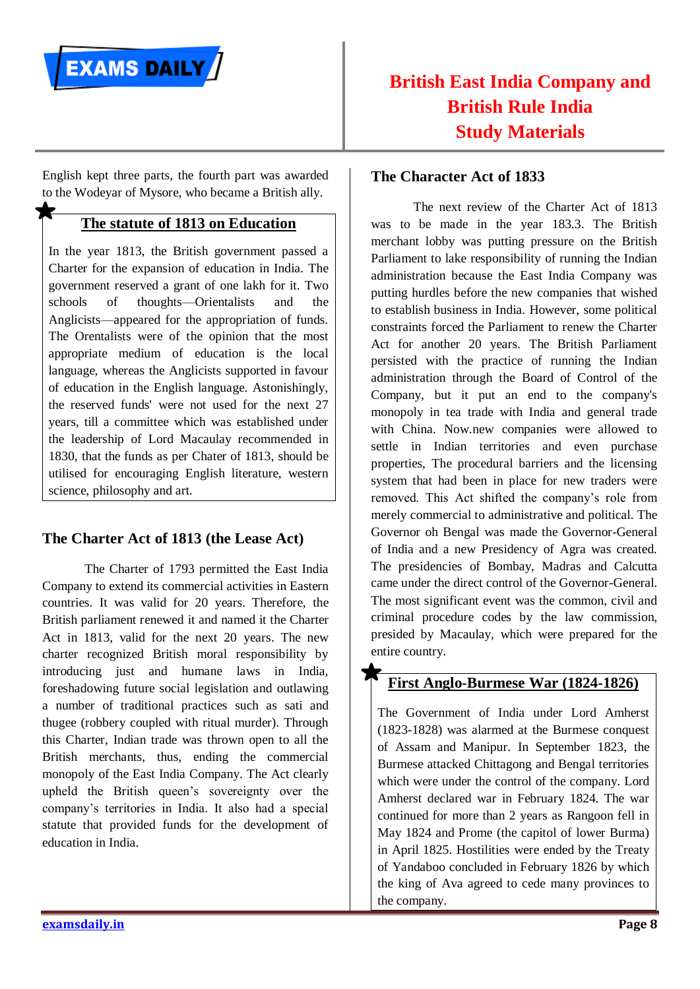

English kept three parts, the fourth part was awarded to the Wodeyar of Mysore, who became a British ally.

## **The statute of 1813 on Education**

In the year 1813, the British government passed a Charter for the expansion of education in India. The government reserved a grant of one lakh for it. Two schools of thoughts—Orientalists and the Anglicists—appeared for the appropriation of funds. The Orentalists were of the opinion that the most appropriate medium of education is the local language, whereas the Anglicists supported in favour of education in the English language. Astonishingly, the reserved funds' were not used for the next 27 years, till a committee which was established under the leadership of Lord Macaulay recommended in 1830, that the funds as per Chater of 1813, should be utilised for encouraging English literature, western science, philosophy and art.

## **The Charter Act of 1813 (the Lease Act)**

The Charter of 1793 permitted the East India Company to extend its commercial activities in Eastern countries. It was valid for 20 years. Therefore, the British parliament renewed it and named it the Charter Act in 1813, valid for the next 20 years. The new charter recognized British moral responsibility by introducing just and humane laws in India, foreshadowing future social legislation and outlawing a number of traditional practices such as sati and thugee (robbery coupled with ritual murder). Through this Charter, Indian trade was thrown open to all the British merchants, thus, ending the commercial monopoly of the East India Company. The Act clearly upheld the British queen's sovereignty over the company's territories in India. It also had a special statute that provided funds for the development of education in India.

## **The Character Act of 1833**

The next review of the Charter Act of 1813 was to be made in the year 183.3. The British merchant lobby was putting pressure on the British Parliament to lake responsibility of running the Indian administration because the East India Company was putting hurdles before the new companies that wished to establish business in India. However, some political constraints forced the Parliament to renew the Charter Act for another 20 years. The British Parliament persisted with the practice of running the Indian administration through the Board of Control of the Company, but it put an end to the company's monopoly in tea trade with India and general trade with China. Now.new companies were allowed to settle in Indian territories and even purchase properties, The procedural barriers and the licensing system that had been in place for new traders were removed. This Act shifted the company's role from merely commercial to administrative and political. The Governor oh Bengal was made the Governor-General of India and a new Presidency of Agra was created. The presidencies of Bombay, Madras and Calcutta came under the direct control of the Governor-General. The most significant event was the common, civil and criminal procedure codes by the law commission, presided by Macaulay, which were prepared for the entire country.

## **First Anglo-Burmese War (1824-1826)**

The Government of India under Lord Amherst (1823-1828) was alarmed at the Burmese conquest of Assam and Manipur. In September 1823, the Burmese attacked Chittagong and Bengal territories which were under the control of the company. Lord Amherst declared war in February 1824. The war continued for more than 2 years as Rangoon fell in May 1824 and Prome (the capitol of lower Burma) in April 1825. Hostilities were ended by the Treaty of Yandaboo concluded in February 1826 by which the king of Ava agreed to cede many provinces to the company.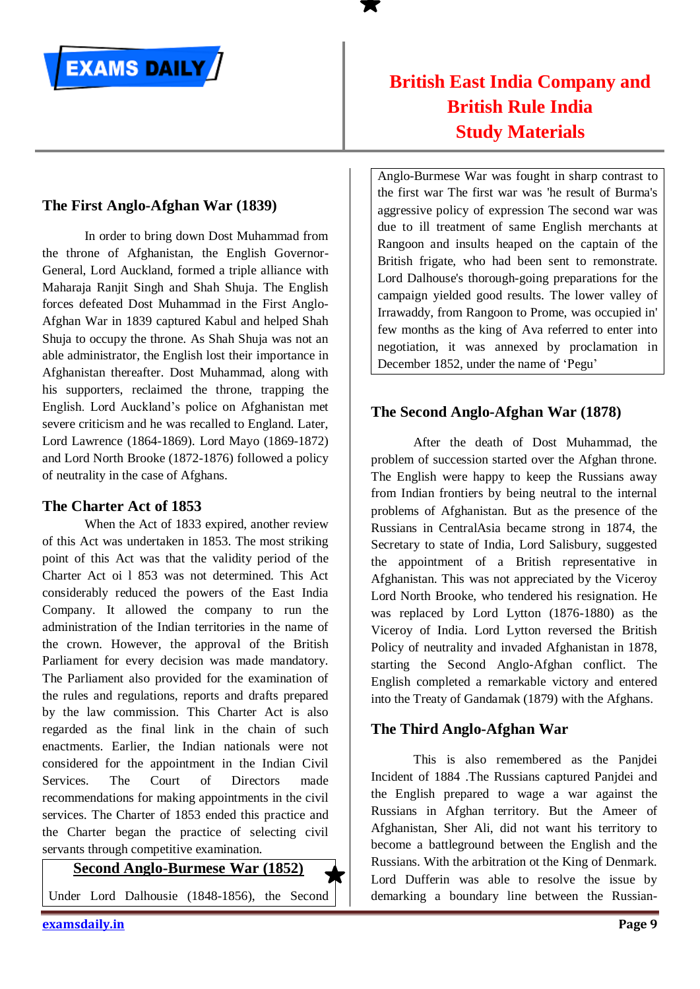

### **The First Anglo-Afghan War (1839)**

In order to bring down Dost Muhammad from the throne of Afghanistan, the English Governor-General, Lord Auckland, formed a triple alliance with Maharaja Ranjit Singh and Shah Shuja. The English forces defeated Dost Muhammad in the First Anglo-Afghan War in 1839 captured Kabul and helped Shah Shuja to occupy the throne. As Shah Shuja was not an able administrator, the English lost their importance in Afghanistan thereafter. Dost Muhammad, along with his supporters, reclaimed the throne, trapping the English. Lord Auckland's police on Afghanistan met severe criticism and he was recalled to England. Later, Lord Lawrence (1864-1869). Lord Mayo (1869-1872) and Lord North Brooke (1872-1876) followed a policy of neutrality in the case of Afghans.

#### **The Charter Act of 1853**

When the Act of 1833 expired, another review of this Act was undertaken in 1853. The most striking point of this Act was that the validity period of the Charter Act oi l 853 was not determined. This Act considerably reduced the powers of the East India Company. It allowed the company to run the administration of the Indian territories in the name of the crown. However, the approval of the British Parliament for every decision was made mandatory. The Parliament also provided for the examination of the rules and regulations, reports and drafts prepared by the law commission. This Charter Act is also regarded as the final link in the chain of such enactments. Earlier, the Indian nationals were not considered for the appointment in the Indian Civil Services. The Court of Directors made recommendations for making appointments in the civil services. The Charter of 1853 ended this practice and the Charter began the practice of selecting civil servants through competitive examination.

#### **Second Anglo-Burmese War (1852)**

Under Lord Dalhousie (1848-1856), the Second

# **British East India Company and British Rule India Study Materials**

Anglo-Burmese War was fought in sharp contrast to the first war The first war was 'he result of Burma's aggressive policy of expression The second war was due to ill treatment of same English merchants at Rangoon and insults heaped on the captain of the British frigate, who had been sent to remonstrate. Lord Dalhouse's thorough-going preparations for the campaign yielded good results. The lower valley of Irrawaddy, from Rangoon to Prome, was occupied in' few months as the king of Ava referred to enter into negotiation, it was annexed by proclamation in December 1852, under the name of 'Pegu'

## **The Second Anglo-Afghan War (1878)**

After the death of Dost Muhammad, the problem of succession started over the Afghan throne. The English were happy to keep the Russians away from Indian frontiers by being neutral to the internal problems of Afghanistan. But as the presence of the Russians in CentralAsia became strong in 1874, the Secretary to state of India, Lord Salisbury, suggested the appointment of a British representative in Afghanistan. This was not appreciated by the Viceroy Lord North Brooke, who tendered his resignation. He was replaced by Lord Lytton (1876-1880) as the Viceroy of India. Lord Lytton reversed the British Policy of neutrality and invaded Afghanistan in 1878, starting the Second Anglo-Afghan conflict. The English completed a remarkable victory and entered into the Treaty of Gandamak (1879) with the Afghans.

## **The Third Anglo-Afghan War**

This is also remembered as the Panjdei Incident of 1884 .The Russians captured Panjdei and the English prepared to wage a war against the Russians in Afghan territory. But the Ameer of Afghanistan, Sher Ali, did not want his territory to become a battleground between the English and the Russians. With the arbitration ot the King of Denmark. Lord Dufferin was able to resolve the issue by demarking a boundary line between the Russian-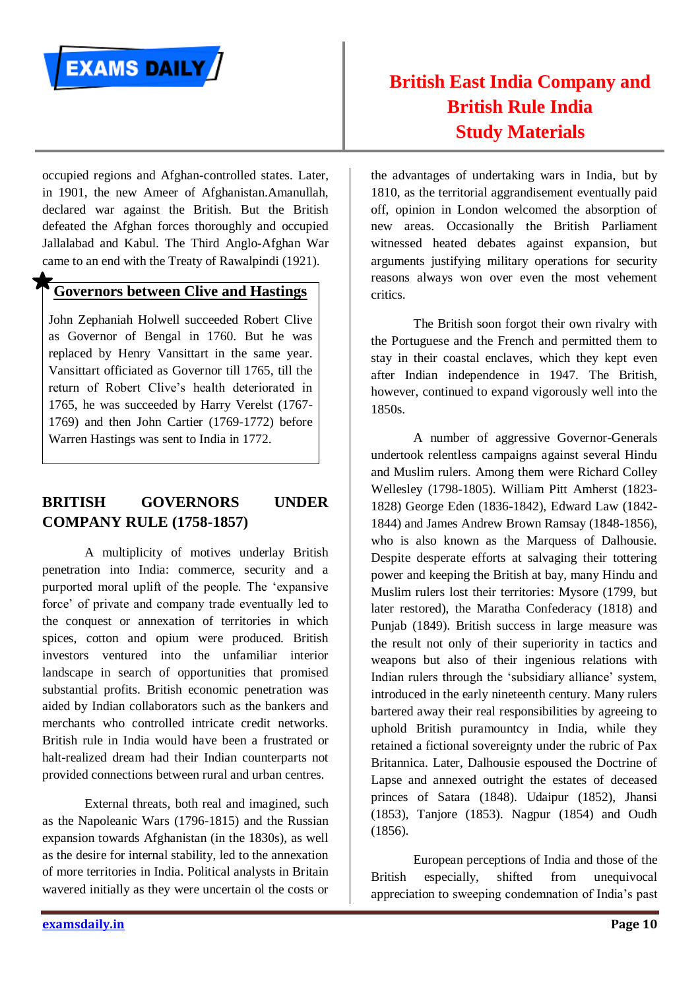

occupied regions and Afghan-controlled states. Later, in 1901, the new Ameer of Afghanistan.Amanullah, declared war against the British. But the British defeated the Afghan forces thoroughly and occupied Jallalabad and Kabul. The Third Anglo-Afghan War came to an end with the Treaty of Rawalpindi (1921).

## **Governors between Clive and Hastings**

John Zephaniah Holwell succeeded Robert Clive as Governor of Bengal in 1760. But he was replaced by Henry Vansittart in the same year. Vansittart officiated as Governor till 1765, till the return of Robert Clive's health deteriorated in 1765, he was succeeded by Harry Verelst (1767- 1769) and then John Cartier (1769-1772) before Warren Hastings was sent to India in 1772.

# **BRITISH GOVERNORS UNDER COMPANY RULE (1758-1857)**

A multiplicity of motives underlay British penetration into India: commerce, security and a purported moral uplift of the people. The 'expansive force' of private and company trade eventually led to the conquest or annexation of territories in which spices, cotton and opium were produced. British investors ventured into the unfamiliar interior landscape in search of opportunities that promised substantial profits. British economic penetration was aided by Indian collaborators such as the bankers and merchants who controlled intricate credit networks. British rule in India would have been a frustrated or halt-realized dream had their Indian counterparts not provided connections between rural and urban centres.

External threats, both real and imagined, such as the Napoleanic Wars (1796-1815) and the Russian expansion towards Afghanistan (in the 1830s), as well as the desire for internal stability, led to the annexation of more territories in India. Political analysts in Britain wavered initially as they were uncertain ol the costs or

the advantages of undertaking wars in India, but by 1810, as the territorial aggrandisement eventually paid off, opinion in London welcomed the absorption of new areas. Occasionally the British Parliament witnessed heated debates against expansion, but arguments justifying military operations for security reasons always won over even the most vehement critics.

The British soon forgot their own rivalry with the Portuguese and the French and permitted them to stay in their coastal enclaves, which they kept even after Indian independence in 1947. The British, however, continued to expand vigorously well into the 1850s.

A number of aggressive Governor-Generals undertook relentless campaigns against several Hindu and Muslim rulers. Among them were Richard Colley Wellesley (1798-1805). William Pitt Amherst (1823- 1828) George Eden (1836-1842), Edward Law (1842- 1844) and James Andrew Brown Ramsay (1848-1856), who is also known as the Marquess of Dalhousie. Despite desperate efforts at salvaging their tottering power and keeping the British at bay, many Hindu and Muslim rulers lost their territories: Mysore (1799, but later restored), the Maratha Confederacy (1818) and Punjab (1849). British success in large measure was the result not only of their superiority in tactics and weapons but also of their ingenious relations with Indian rulers through the 'subsidiary alliance' system, introduced in the early nineteenth century. Many rulers bartered away their real responsibilities by agreeing to uphold British puramountcy in India, while they retained a fictional sovereignty under the rubric of Pax Britannica. Later, Dalhousie espoused the Doctrine of Lapse and annexed outright the estates of deceased princes of Satara (1848). Udaipur (1852), Jhansi (1853), Tanjore (1853). Nagpur (1854) and Oudh (1856).

European perceptions of India and those of the British especially, shifted from unequivocal appreciation to sweeping condemnation of India's past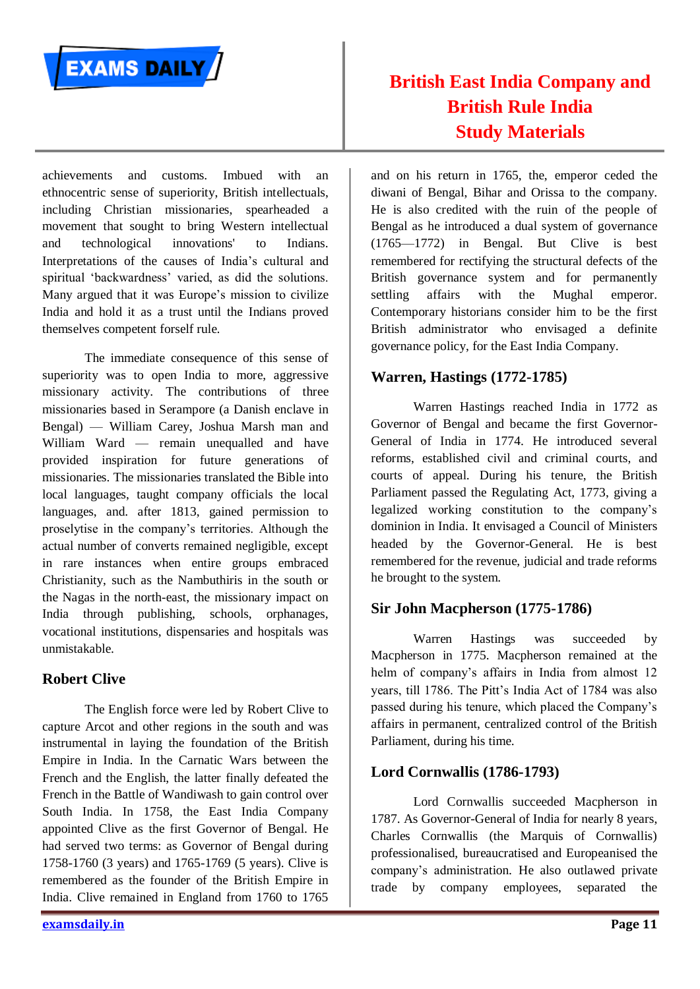

achievements and customs. Imbued with an ethnocentric sense of superiority, British intellectuals, including Christian missionaries, spearheaded a movement that sought to bring Western intellectual and technological innovations' to Indians. Interpretations of the causes of India's cultural and spiritual 'backwardness' varied, as did the solutions. Many argued that it was Europe's mission to civilize India and hold it as a trust until the Indians proved themselves competent forself rule.

The immediate consequence of this sense of superiority was to open India to more, aggressive missionary activity. The contributions of three missionaries based in Serampore (a Danish enclave in Bengal) — William Carey, Joshua Marsh man and William Ward — remain unequalled and have provided inspiration for future generations of missionaries. The missionaries translated the Bible into local languages, taught company officials the local languages, and. after 1813, gained permission to proselytise in the company's territories. Although the actual number of converts remained negligible, except in rare instances when entire groups embraced Christianity, such as the Nambuthiris in the south or the Nagas in the north-east, the missionary impact on India through publishing, schools, orphanages, vocational institutions, dispensaries and hospitals was unmistakable.

## **Robert Clive**

The English force were led by Robert Clive to capture Arcot and other regions in the south and was instrumental in laying the foundation of the British Empire in India. In the Carnatic Wars between the French and the English, the latter finally defeated the French in the Battle of Wandiwash to gain control over South India. In 1758, the East India Company appointed Clive as the first Governor of Bengal. He had served two terms: as Governor of Bengal during 1758-1760 (3 years) and 1765-1769 (5 years). Clive is remembered as the founder of the British Empire in India. Clive remained in England from 1760 to 1765

and on his return in 1765, the, emperor ceded the diwani of Bengal, Bihar and Orissa to the company. He is also credited with the ruin of the people of Bengal as he introduced a dual system of governance (1765—1772) in Bengal. But Clive is best remembered for rectifying the structural defects of the British governance system and for permanently settling affairs with the Mughal emperor. Contemporary historians consider him to be the first British administrator who envisaged a definite governance policy, for the East India Company.

# **Warren, Hastings (1772-1785)**

Warren Hastings reached India in 1772 as Governor of Bengal and became the first Governor-General of India in 1774. He introduced several reforms, established civil and criminal courts, and courts of appeal. During his tenure, the British Parliament passed the Regulating Act, 1773, giving a legalized working constitution to the company's dominion in India. It envisaged a Council of Ministers headed by the Governor-General. He is best remembered for the revenue, judicial and trade reforms he brought to the system.

# **Sir John Macpherson (1775-1786)**

Warren Hastings was succeeded by Macpherson in 1775. Macpherson remained at the helm of company's affairs in India from almost 12 years, till 1786. The Pitt's India Act of 1784 was also passed during his tenure, which placed the Company's affairs in permanent, centralized control of the British Parliament, during his time.

## **Lord Cornwallis (1786-1793)**

Lord Cornwallis succeeded Macpherson in 1787. As Governor-General of India for nearly 8 years, Charles Cornwallis (the Marquis of Cornwallis) professionalised, bureaucratised and Europeanised the company's administration. He also outlawed private trade by company employees, separated the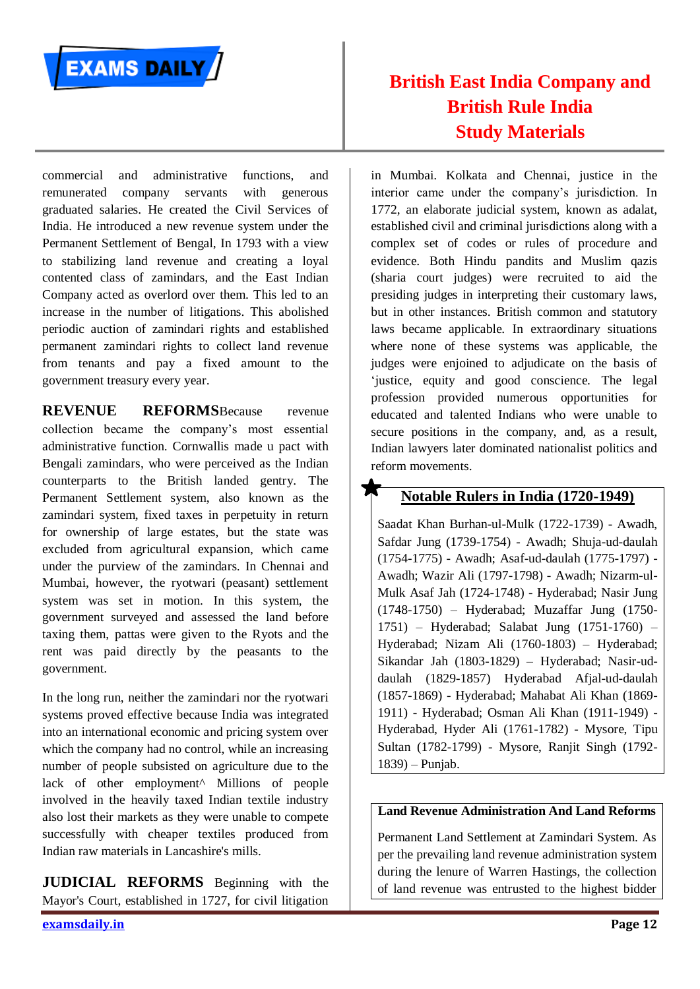

commercial and administrative functions, and remunerated company servants with generous graduated salaries. He created the Civil Services of India. He introduced a new revenue system under the Permanent Settlement of Bengal, In 1793 with a view to stabilizing land revenue and creating a loyal contented class of zamindars, and the East Indian Company acted as overlord over them. This led to an increase in the number of litigations. This abolished periodic auction of zamindari rights and established permanent zamindari rights to collect land revenue from tenants and pay a fixed amount to the government treasury every year.

**REVENUE REFORMS**Because revenue collection became the company's most essential administrative function. Cornwallis made u pact with Bengali zamindars, who were perceived as the Indian counterparts to the British landed gentry. The Permanent Settlement system, also known as the zamindari system, fixed taxes in perpetuity in return for ownership of large estates, but the state was excluded from agricultural expansion, which came under the purview of the zamindars. In Chennai and Mumbai, however, the ryotwari (peasant) settlement system was set in motion. In this system, the government surveyed and assessed the land before taxing them, pattas were given to the Ryots and the rent was paid directly by the peasants to the government.

In the long run, neither the zamindari nor the ryotwari systems proved effective because India was integrated into an international economic and pricing system over which the company had no control, while an increasing number of people subsisted on agriculture due to the lack of other employment^ Millions of people involved in the heavily taxed Indian textile industry also lost their markets as they were unable to compete successfully with cheaper textiles produced from Indian raw materials in Lancashire's mills.

**JUDICIAL REFORMS** Beginning with the Mayor's Court, established in 1727, for civil litigation in Mumbai. Kolkata and Chennai, justice in the interior came under the company's jurisdiction. In 1772, an elaborate judicial system, known as adalat, established civil and criminal jurisdictions along with a complex set of codes or rules of procedure and evidence. Both Hindu pandits and Muslim qazis (sharia court judges) were recruited to aid the presiding judges in interpreting their customary laws, but in other instances. British common and statutory laws became applicable. In extraordinary situations where none of these systems was applicable, the judges were enjoined to adjudicate on the basis of 'justice, equity and good conscience. The legal profession provided numerous opportunities for educated and talented Indians who were unable to secure positions in the company, and, as a result, Indian lawyers later dominated nationalist politics and reform movements.

## **Notable Rulers in India (1720-1949)**

Saadat Khan Burhan-ul-Mulk (1722-1739) - Awadh, Safdar Jung (1739-1754) - Awadh; Shuja-ud-daulah (1754-1775) - Awadh; Asaf-ud-daulah (1775-1797) - Awadh; Wazir Ali (1797-1798) - Awadh; Nizarm-ul-Mulk Asaf Jah (1724-1748) - Hyderabad; Nasir Jung (1748-1750) – Hyderabad; Muzaffar Jung (1750- 1751) – Hyderabad; Salabat Jung (1751-1760) – Hyderabad; Nizam Ali (1760-1803) – Hyderabad; Sikandar Jah (1803-1829) – Hyderabad; Nasir-uddaulah (1829-1857) Hyderabad Afjal-ud-daulah (1857-1869) - Hyderabad; Mahabat Ali Khan (1869- 1911) - Hyderabad; Osman Ali Khan (1911-1949) - Hyderabad, Hyder Ali (1761-1782) - Mysore, Tipu Sultan (1782-1799) - Mysore, Ranjit Singh (1792- 1839) – Punjab.

#### **Land Revenue Administration And Land Reforms**

Permanent Land Settlement at Zamindari System. As per the prevailing land revenue administration system during the lenure of Warren Hastings, the collection of land revenue was entrusted to the highest bidder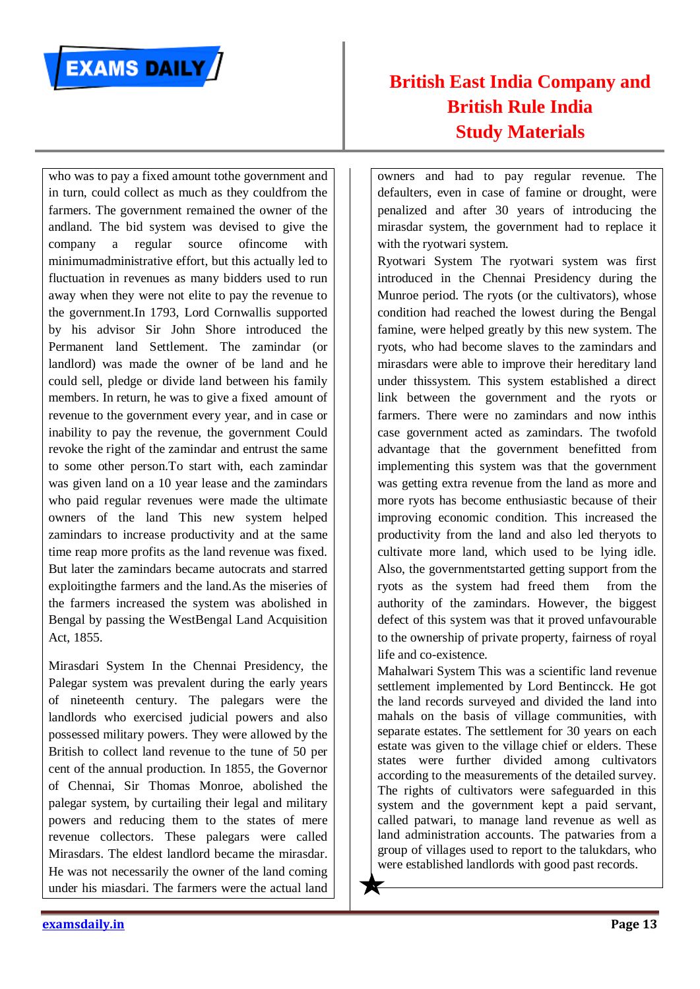

who was to pay a fixed amount tothe government and in turn, could collect as much as they couldfrom the farmers. The government remained the owner of the andland. The bid system was devised to give the company a regular source ofincome with minimumadministrative effort, but this actually led to fluctuation in revenues as many bidders used to run away when they were not elite to pay the revenue to the government.In 1793, Lord Cornwallis supported by his advisor Sir John Shore introduced the Permanent land Settlement. The zamindar (or landlord) was made the owner of be land and he could sell, pledge or divide land between his family members. In return, he was to give a fixed amount of revenue to the government every year, and in case or inability to pay the revenue, the government Could revoke the right of the zamindar and entrust the same to some other person.To start with, each zamindar was given land on a 10 year lease and the zamindars who paid regular revenues were made the ultimate owners of the land This new system helped zamindars to increase productivity and at the same time reap more profits as the land revenue was fixed. But later the zamindars became autocrats and starred exploitingthe farmers and the land.As the miseries of the farmers increased the system was abolished in Bengal by passing the WestBengal Land Acquisition Act, 1855.

Mirasdari System In the Chennai Presidency, the Palegar system was prevalent during the early years of nineteenth century. The palegars were the landlords who exercised judicial powers and also possessed military powers. They were allowed by the British to collect land revenue to the tune of 50 per cent of the annual production. In 1855, the Governor of Chennai, Sir Thomas Monroe, abolished the palegar system, by curtailing their legal and military powers and reducing them to the states of mere revenue collectors. These palegars were called Mirasdars. The eldest landlord became the mirasdar. He was not necessarily the owner of the land coming under his miasdari. The farmers were the actual land

# **British East India Company and British Rule India Study Materials**

owners and had to pay regular revenue. The defaulters, even in case of famine or drought, were penalized and after 30 years of introducing the mirasdar system, the government had to replace it with the ryotwari system.

Ryotwari System The ryotwari system was first introduced in the Chennai Presidency during the Munroe period. The ryots (or the cultivators), whose condition had reached the lowest during the Bengal famine, were helped greatly by this new system. The ryots, who had become slaves to the zamindars and mirasdars were able to improve their hereditary land under thissystem. This system established a direct link between the government and the ryots or farmers. There were no zamindars and now inthis case government acted as zamindars. The twofold advantage that the government benefitted from implementing this system was that the government was getting extra revenue from the land as more and more ryots has become enthusiastic because of their improving economic condition. This increased the productivity from the land and also led theryots to cultivate more land, which used to be lying idle. Also, the governmentstarted getting support from the ryots as the system had freed them from the authority of the zamindars. However, the biggest defect of this system was that it proved unfavourable to the ownership of private property, fairness of royal life and co-existence.

Mahalwari System This was a scientific land revenue settlement implemented by Lord Bentincck. He got the land records surveyed and divided the land into mahals on the basis of village communities, with separate estates. The settlement for 30 years on each estate was given to the village chief or elders. These states were further divided among cultivators according to the measurements of the detailed survey. The rights of cultivators were safeguarded in this system and the government kept a paid servant, called patwari, to manage land revenue as well as land administration accounts. The patwaries from a group of villages used to report to the talukdars, who were established landlords with good past records.

**X**  $\overline{a}$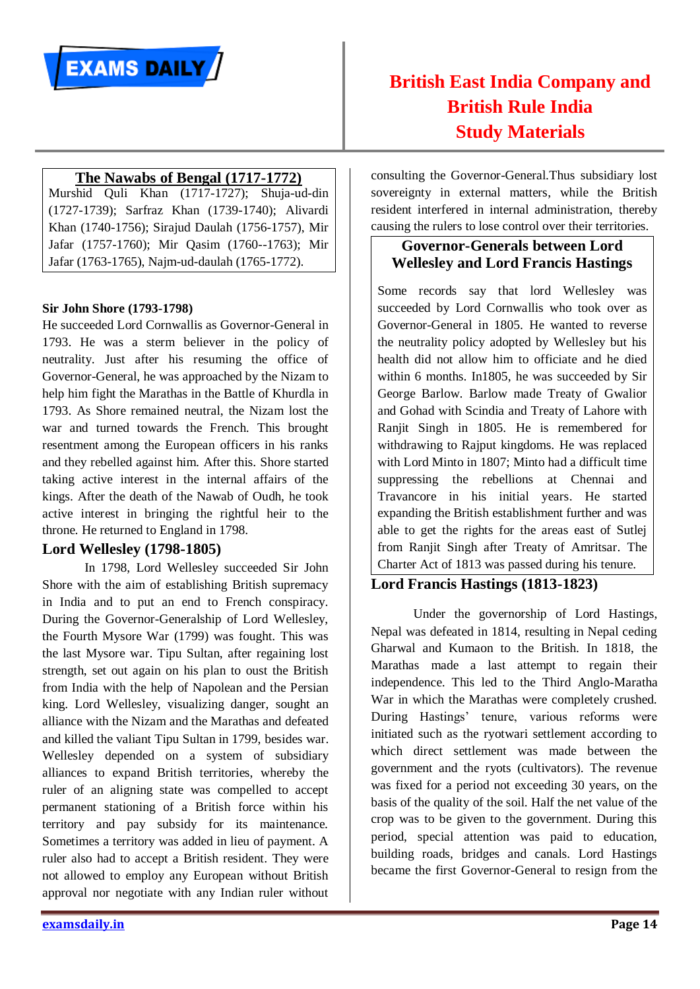

## **The Nawabs of Bengal (1717-1772)**

Murshid Quli Khan (1717-1727); Shuja-ud-din (1727-1739); Sarfraz Khan (1739-1740); Alivardi Khan (1740-1756); Sirajud Daulah (1756-1757), Mir Jafar (1757-1760); Mir Qasim (1760--1763); Mir Jafar (1763-1765), Najm-ud-daulah (1765-1772).

#### **Sir John Shore (1793-1798)**

He succeeded Lord Cornwallis as Governor-General in 1793. He was a sterm believer in the policy of neutrality. Just after his resuming the office of Governor-General, he was approached by the Nizam to help him fight the Marathas in the Battle of Khurdla in 1793. As Shore remained neutral, the Nizam lost the war and turned towards the French. This brought resentment among the European officers in his ranks and they rebelled against him. After this. Shore started taking active interest in the internal affairs of the kings. After the death of the Nawab of Oudh, he took active interest in bringing the rightful heir to the throne. He returned to England in 1798.

#### **Lord Wellesley (1798-1805)**

In 1798, Lord Wellesley succeeded Sir John Shore with the aim of establishing British supremacy in India and to put an end to French conspiracy. During the Governor-Generalship of Lord Wellesley, the Fourth Mysore War (1799) was fought. This was the last Mysore war. Tipu Sultan, after regaining lost strength, set out again on his plan to oust the British from India with the help of Napolean and the Persian king. Lord Wellesley, visualizing danger, sought an alliance with the Nizam and the Marathas and defeated and killed the valiant Tipu Sultan in 1799, besides war. Wellesley depended on a system of subsidiary alliances to expand British territories, whereby the ruler of an aligning state was compelled to accept permanent stationing of a British force within his territory and pay subsidy for its maintenance. Sometimes a territory was added in lieu of payment. A ruler also had to accept a British resident. They were not allowed to employ any European without British approval nor negotiate with any Indian ruler without

# **British East India Company and British Rule India Study Materials**

consulting the Governor-General.Thus subsidiary lost sovereignty in external matters, while the British resident interfered in internal administration, thereby causing the rulers to lose control over their territories.

## **Governor-Generals between Lord Wellesley and Lord Francis Hastings**

Some records say that lord Wellesley was succeeded by Lord Cornwallis who took over as Governor-General in 1805. He wanted to reverse the neutrality policy adopted by Wellesley but his health did not allow him to officiate and he died within 6 months. In1805, he was succeeded by Sir George Barlow. Barlow made Treaty of Gwalior and Gohad with Scindia and Treaty of Lahore with Ranjit Singh in 1805. He is remembered for withdrawing to Rajput kingdoms. He was replaced with Lord Minto in 1807; Minto had a difficult time suppressing the rebellions at Chennai and Travancore in his initial years. He started expanding the British establishment further and was able to get the rights for the areas east of Sutlej from Ranjit Singh after Treaty of Amritsar. The Charter Act of 1813 was passed during his tenure.

# **Lord Francis Hastings (1813-1823)**

Under the governorship of Lord Hastings, Nepal was defeated in 1814, resulting in Nepal ceding Gharwal and Kumaon to the British. In 1818, the Marathas made a last attempt to regain their independence. This led to the Third Anglo-Maratha War in which the Marathas were completely crushed. During Hastings' tenure, various reforms were initiated such as the ryotwari settlement according to which direct settlement was made between the government and the ryots (cultivators). The revenue was fixed for a period not exceeding 30 years, on the basis of the quality of the soil. Half the net value of the crop was to be given to the government. During this period, special attention was paid to education, building roads, bridges and canals. Lord Hastings became the first Governor-General to resign from the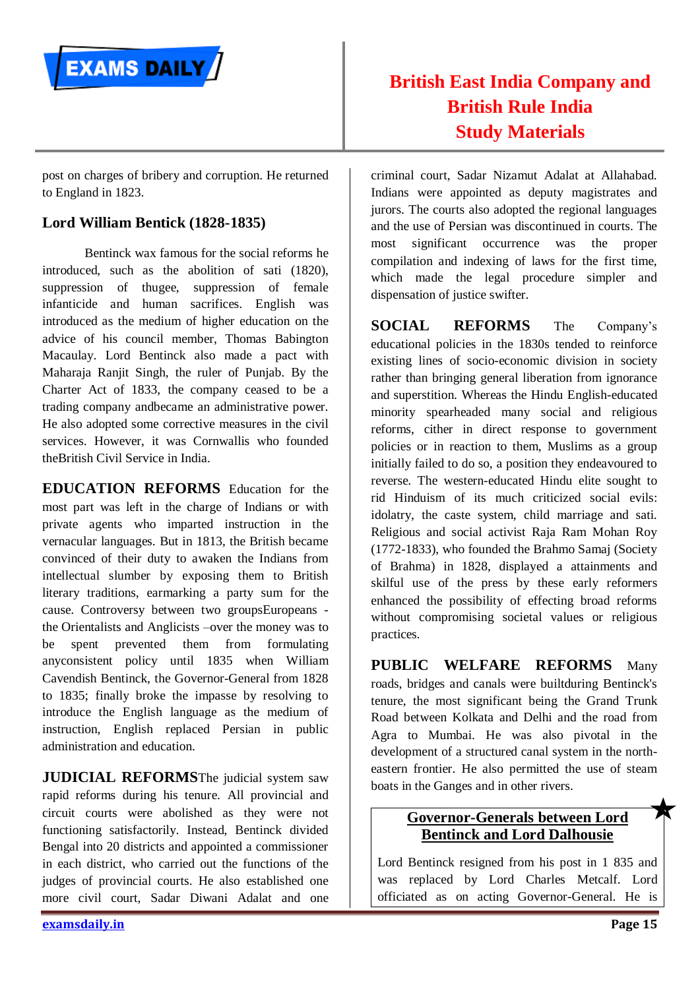

post on charges of bribery and corruption. He returned to England in 1823.

## **Lord William Bentick (1828-1835)**

Bentinck wax famous for the social reforms he introduced, such as the abolition of sati (1820), suppression of thugee, suppression of female infanticide and human sacrifices. English was introduced as the medium of higher education on the advice of his council member, Thomas Babington Macaulay. Lord Bentinck also made a pact with Maharaja Ranjit Singh, the ruler of Punjab. By the Charter Act of 1833, the company ceased to be a trading company andbecame an administrative power. He also adopted some corrective measures in the civil services. However, it was Cornwallis who founded theBritish Civil Service in India.

**EDUCATION REFORMS** Education for the most part was left in the charge of Indians or with private agents who imparted instruction in the vernacular languages. But in 1813, the British became convinced of their duty to awaken the Indians from intellectual slumber by exposing them to British literary traditions, earmarking a party sum for the cause. Controversy between two groupsEuropeans the Orientalists and Anglicists –over the money was to be spent prevented them from formulating anyconsistent policy until 1835 when William Cavendish Bentinck, the Governor-General from 1828 to 1835; finally broke the impasse by resolving to introduce the English language as the medium of instruction, English replaced Persian in public administration and education.

**JUDICIAL REFORMS**The judicial system saw rapid reforms during his tenure. All provincial and circuit courts were abolished as they were not functioning satisfactorily. Instead, Bentinck divided Bengal into 20 districts and appointed a commissioner in each district, who carried out the functions of the judges of provincial courts. He also established one more civil court, Sadar Diwani Adalat and one

criminal court, Sadar Nizamut Adalat at Allahabad. Indians were appointed as deputy magistrates and jurors. The courts also adopted the regional languages and the use of Persian was discontinued in courts. The most significant occurrence was the proper compilation and indexing of laws for the first time, which made the legal procedure simpler and dispensation of justice swifter.

**SOCIAL REFORMS** The Company's educational policies in the 1830s tended to reinforce existing lines of socio-economic division in society rather than bringing general liberation from ignorance and superstition. Whereas the Hindu English-educated minority spearheaded many social and religious reforms, cither in direct response to government policies or in reaction to them, Muslims as a group initially failed to do so, a position they endeavoured to reverse. The western-educated Hindu elite sought to rid Hinduism of its much criticized social evils: idolatry, the caste system, child marriage and sati. Religious and social activist Raja Ram Mohan Roy (1772-1833), who founded the Brahmo Samaj (Society of Brahma) in 1828, displayed a attainments and skilful use of the press by these early reformers enhanced the possibility of effecting broad reforms without compromising societal values or religious practices.

**PUBLIC WELFARE REFORMS** Many roads, bridges and canals were builtduring Bentinck's tenure, the most significant being the Grand Trunk Road between Kolkata and Delhi and the road from Agra to Mumbai. He was also pivotal in the development of a structured canal system in the northeastern frontier. He also permitted the use of steam boats in the Ganges and in other rivers.

## **Governor-Generals between Lord Bentinck and Lord Dalhousie**

Lord Bentinck resigned from his post in 1 835 and was replaced by Lord Charles Metcalf. Lord officiated as on acting Governor-General. He is

`  $\overline{\phantom{a}}$  $\overline{\phantom{a}}$  $\overline{\phantom{a}}$  $\overline{\phantom{a}}$  $\overline{a}$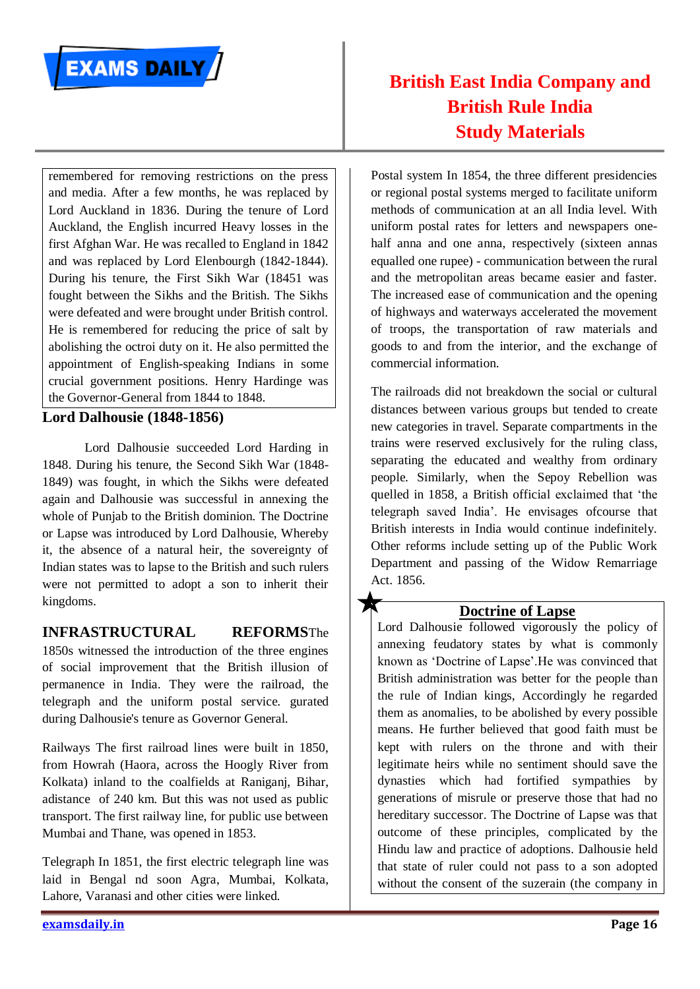

remembered for removing restrictions on the press and media. After a few months, he was replaced by Lord Auckland in 1836. During the tenure of Lord Auckland, the English incurred Heavy losses in the first Afghan War. He was recalled to England in 1842 and was replaced by Lord Elenbourgh (1842-1844). During his tenure, the First Sikh War (18451 was fought between the Sikhs and the British. The Sikhs were defeated and were brought under British control. He is remembered for reducing the price of salt by abolishing the octroi duty on it. He also permitted the appointment of English-speaking Indians in some crucial government positions. Henry Hardinge was the Governor-General from 1844 to 1848.

#### **Lord Dalhousie (1848-1856)**

Lord Dalhousie succeeded Lord Harding in 1848. During his tenure, the Second Sikh War (1848- 1849) was fought, in which the Sikhs were defeated again and Dalhousie was successful in annexing the whole of Punjab to the British dominion. The Doctrine or Lapse was introduced by Lord Dalhousie, Whereby it, the absence of a natural heir, the sovereignty of Indian states was to lapse to the British and such rulers were not permitted to adopt a son to inherit their kingdoms.

## **INFRASTRUCTURAL REFORMS**The

1850s witnessed the introduction of the three engines of social improvement that the British illusion of permanence in India. They were the railroad, the telegraph and the uniform postal service. gurated during Dalhousie's tenure as Governor General.

Railways The first railroad lines were built in 1850, from Howrah (Haora, across the Hoogly River from Kolkata) inland to the coalfields at Raniganj, Bihar, adistance of 240 km. But this was not used as public transport. The first railway line, for public use between Mumbai and Thane, was opened in 1853.

Telegraph In 1851, the first electric telegraph line was laid in Bengal nd soon Agra, Mumbai, Kolkata, Lahore, Varanasi and other cities were linked.

Postal system In 1854, the three different presidencies or regional postal systems merged to facilitate uniform methods of communication at an all India level. With uniform postal rates for letters and newspapers onehalf anna and one anna, respectively (sixteen annas equalled one rupee) - communication between the rural and the metropolitan areas became easier and faster. The increased ease of communication and the opening of highways and waterways accelerated the movement of troops, the transportation of raw materials and goods to and from the interior, and the exchange of commercial information.

The railroads did not breakdown the social or cultural distances between various groups but tended to create new categories in travel. Separate compartments in the trains were reserved exclusively for the ruling class, separating the educated and wealthy from ordinary people. Similarly, when the Sepoy Rebellion was quelled in 1858, a British official exclaimed that 'the telegraph saved India'. He envisages ofcourse that British interests in India would continue indefinitely. Other reforms include setting up of the Public Work Department and passing of the Widow Remarriage Act. 1856.

`  $\overline{\phantom{a}}$  $\overline{\phantom{a}}$  $\overline{\phantom{a}}$  $\overline{\phantom{a}}$  $\overline{\phantom{a}}$  $\overline{\phantom{a}}$  $\overline{\phantom{a}}$  $\overline{\phantom{a}}$  $\overline{\phantom{a}}$  $\overline{\phantom{a}}$  $\overline{\phantom{a}}$  $\overline{\phantom{a}}$  $\overline{\phantom{a}}$  $\overline{\phantom{a}}$  $\overline{\phantom{a}}$ ` `

### **Doctrine of Lapse**

Lord Dalhousie followed vigorously the policy of annexing feudatory states by what is commonly known as 'Doctrine of Lapse'.He was convinced that British administration was better for the people than the rule of Indian kings, Accordingly he regarded them as anomalies, to be abolished by every possible means. He further believed that good faith must be kept with rulers on the throne and with their legitimate heirs while no sentiment should save the dynasties which had fortified sympathies by generations of misrule or preserve those that had no hereditary successor. The Doctrine of Lapse was that outcome of these principles, complicated by the Hindu law and practice of adoptions. Dalhousie held that state of ruler could not pass to a son adopted without the consent of the suzerain (the company in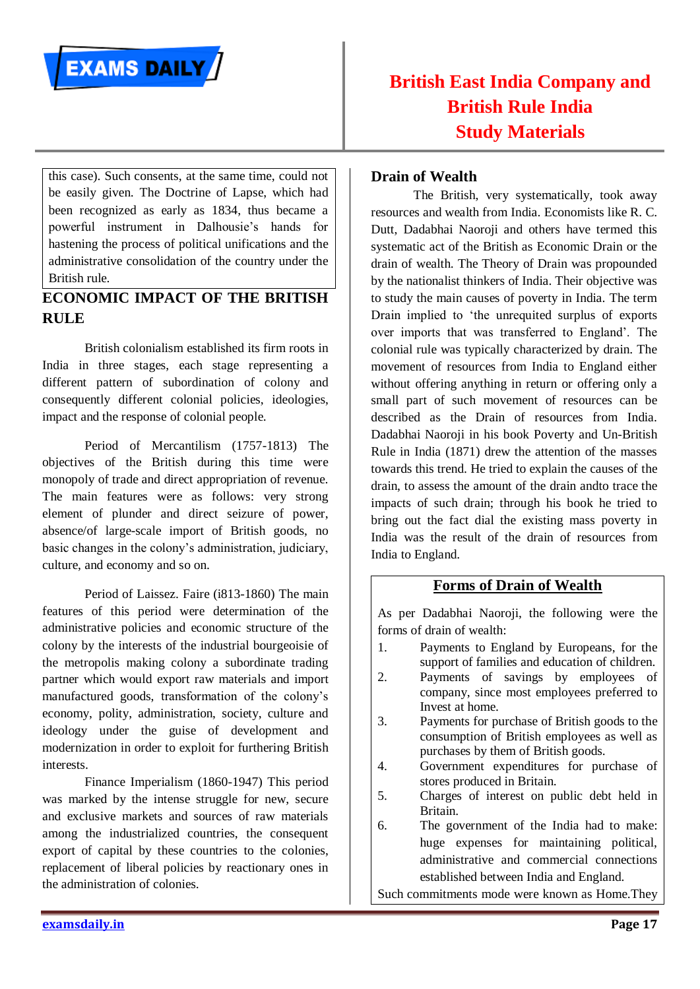

this case). Such consents, at the same time, could not be easily given. The Doctrine of Lapse, which had been recognized as early as 1834, thus became a powerful instrument in Dalhousie's hands for hastening the process of political unifications and the administrative consolidation of the country under the British rule.

## **ECONOMIC IMPACT OF THE BRITISH RULE**

British colonialism established its firm roots in India in three stages, each stage representing a different pattern of subordination of colony and consequently different colonial policies, ideologies, impact and the response of colonial people.

Period of Mercantilism (1757-1813) The objectives of the British during this time were monopoly of trade and direct appropriation of revenue. The main features were as follows: very strong element of plunder and direct seizure of power, absence/of large-scale import of British goods, no basic changes in the colony's administration, judiciary, culture, and economy and so on.

Period of Laissez. Faire (i813-1860) The main features of this period were determination of the administrative policies and economic structure of the colony by the interests of the industrial bourgeoisie of the metropolis making colony a subordinate trading partner which would export raw materials and import manufactured goods, transformation of the colony's economy, polity, administration, society, culture and ideology under the guise of development and modernization in order to exploit for furthering British interests.

Finance Imperialism (1860-1947) This period was marked by the intense struggle for new, secure and exclusive markets and sources of raw materials among the industrialized countries, the consequent export of capital by these countries to the colonies, replacement of liberal policies by reactionary ones in the administration of colonies.

## **Drain of Wealth**

The British, very systematically, took away resources and wealth from India. Economists like R. C. Dutt, Dadabhai Naoroji and others have termed this systematic act of the British as Economic Drain or the drain of wealth. The Theory of Drain was propounded by the nationalist thinkers of India. Their objective was to study the main causes of poverty in India. The term Drain implied to 'the unrequited surplus of exports over imports that was transferred to England'. The colonial rule was typically characterized by drain. The movement of resources from India to England either without offering anything in return or offering only a small part of such movement of resources can be described as the Drain of resources from India. Dadabhai Naoroji in his book Poverty and Un-British Rule in India (1871) drew the attention of the masses towards this trend. He tried to explain the causes of the drain, to assess the amount of the drain andto trace the impacts of such drain; through his book he tried to bring out the fact dial the existing mass poverty in India was the result of the drain of resources from India to England.

## **Forms of Drain of Wealth**

As per Dadabhai Naoroji, the following were the forms of drain of wealth:

- 1. Payments to England by Europeans, for the support of families and education of children.
- 2. Payments of savings by employees of company, since most employees preferred to Invest at home.
- 3. Payments for purchase of British goods to the consumption of British employees as well as purchases by them of British goods.
- 4. Government expenditures for purchase of stores produced in Britain.
- 5. Charges of interest on public debt held in Britain.
- 6. The government of the India had to make: huge expenses for maintaining political, administrative and commercial connections established between India and England.

Such commitments mode were known as Home.They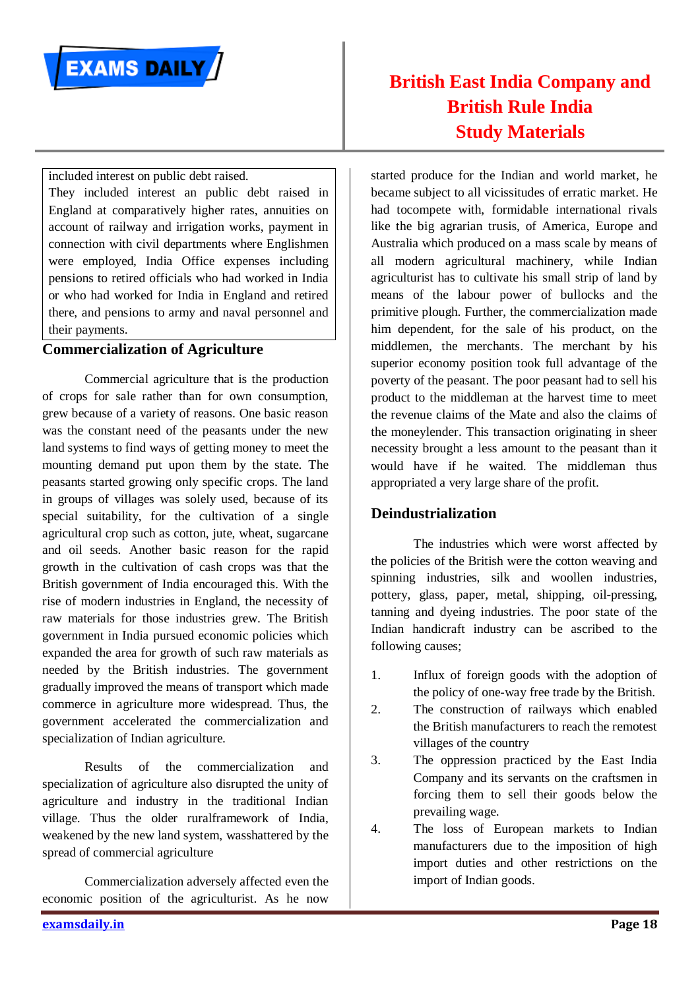

included interest on public debt raised.

They included interest an public debt raised in England at comparatively higher rates, annuities on account of railway and irrigation works, payment in connection with civil departments where Englishmen were employed, India Office expenses including pensions to retired officials who had worked in India or who had worked for India in England and retired there, and pensions to army and naval personnel and their payments.

## **Commercialization of Agriculture**

Commercial agriculture that is the production of crops for sale rather than for own consumption, grew because of a variety of reasons. One basic reason was the constant need of the peasants under the new land systems to find ways of getting money to meet the mounting demand put upon them by the state. The peasants started growing only specific crops. The land in groups of villages was solely used, because of its special suitability, for the cultivation of a single agricultural crop such as cotton, jute, wheat, sugarcane and oil seeds. Another basic reason for the rapid growth in the cultivation of cash crops was that the British government of India encouraged this. With the rise of modern industries in England, the necessity of raw materials for those industries grew. The British government in India pursued economic policies which expanded the area for growth of such raw materials as needed by the British industries. The government gradually improved the means of transport which made commerce in agriculture more widespread. Thus, the government accelerated the commercialization and specialization of Indian agriculture.

Results of the commercialization and specialization of agriculture also disrupted the unity of agriculture and industry in the traditional Indian village. Thus the older ruralframework of India, weakened by the new land system, wasshattered by the spread of commercial agriculture

Commercialization adversely affected even the economic position of the agriculturist. As he now

started produce for the Indian and world market, he became subject to all vicissitudes of erratic market. He had tocompete with, formidable international rivals like the big agrarian trusis, of America, Europe and Australia which produced on a mass scale by means of all modern agricultural machinery, while Indian agriculturist has to cultivate his small strip of land by means of the labour power of bullocks and the primitive plough. Further, the commercialization made him dependent, for the sale of his product, on the middlemen, the merchants. The merchant by his superior economy position took full advantage of the poverty of the peasant. The poor peasant had to sell his product to the middleman at the harvest time to meet the revenue claims of the Mate and also the claims of the moneylender. This transaction originating in sheer necessity brought a less amount to the peasant than it would have if he waited. The middleman thus appropriated a very large share of the profit.

## **Deindustrialization**

The industries which were worst affected by the policies of the British were the cotton weaving and spinning industries, silk and woollen industries, pottery, glass, paper, metal, shipping, oil-pressing, tanning and dyeing industries. The poor state of the Indian handicraft industry can be ascribed to the following causes;

- 1. Influx of foreign goods with the adoption of the policy of one-way free trade by the British.
- 2. The construction of railways which enabled the British manufacturers to reach the remotest villages of the country
- 3. The oppression practiced by the East India Company and its servants on the craftsmen in forcing them to sell their goods below the prevailing wage.
- 4. The loss of European markets to Indian manufacturers due to the imposition of high import duties and other restrictions on the import of Indian goods.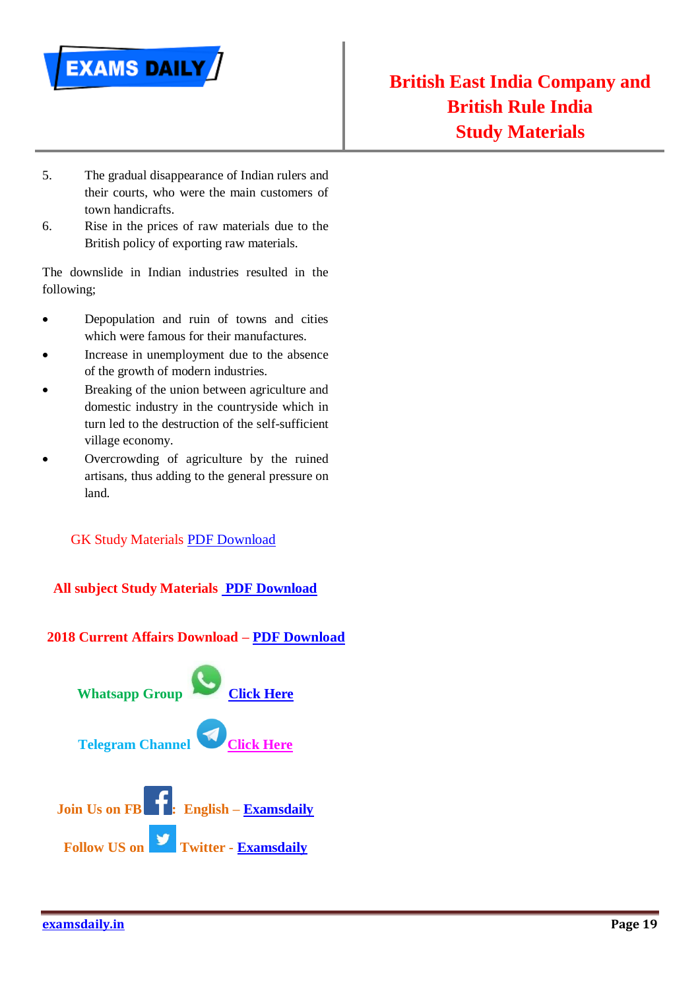

- 5. The gradual disappearance of Indian rulers and their courts, who were the main customers of town handicrafts.
- 6. Rise in the prices of raw materials due to the British policy of exporting raw materials.

The downslide in Indian industries resulted in the following;

- Depopulation and ruin of towns and cities which were famous for their manufactures.
- Increase in unemployment due to the absence of the growth of modern industries.
- Breaking of the union between agriculture and domestic industry in the countryside which in turn led to the destruction of the self-sufficient village economy.
- Overcrowding of agriculture by the ruined artisans, thus adding to the general pressure on land.

## GK Study Materials [PDF Download](https://goo.gl/emKkLo)

**All subject Study Materials [PDF Download](https://goo.gl/f4VGSW)**

**2018 Current Affairs Download – [PDF Download](http://bit.ly/2MYG7pH)**